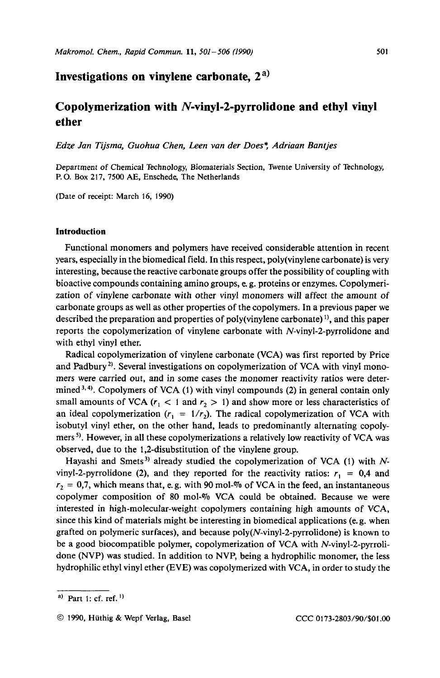## **Investigations on vinylene carbonate, 2** a)

# **Copolymerization with N-vinyl-2-pyrrolidone and ethyl vinyl ether**

*Edze Jan Tijsma, Guohua Chen, Leen van der Does\*, Adriaan Bantjes* 

Department of Chemical Technology, Biomaterials Section, Twente University of Technology, P.O. **Box 217, 7500 AE,** Enschede, The Netherlands

(Date of receipt: March **16, 1990)** 

## **Introduction**

Functional monomers and polymers have received considerable attention in recent years, especially in the biomedical field. In this respect, poly(vinylene carbonate) is very interesting, because the reactive carbonate groups offer the possibility of coupling with bioactive compounds containing amino groups, e. g. proteins or enzymes. Copolymerization *of* vinylene carbonate with other vinyl monomers will affect the amount of carbonate groups as well as other properties of the copolymers. In a previous paper we described the preparation and properties of poly(vinylene carbonate)<sup>1)</sup>, and this paper reports the copolymerization of vinylene carbonate with N-vinyl-2-pyrrolidone and with ethyl vinyl ether.

Radical copolymerization of vinylene carbonate (VCA) was first reported by Price and Padbury<sup>2)</sup>. Several investigations on copolymerization of VCA with vinyl monomers were carried out, and in some cases the monomer reactivity ratios were determined<sup>3,4)</sup>. Copolymers of VCA (1) with vinyl compounds (2) in general contain only small amounts of VCA  $(r_1 < 1$  and  $r_2 > 1)$  and show more or less characteristics of an ideal copolymerization  $(r_1 = 1/r_2)$ . The radical copolymerization of VCA with isobutyl vinyl ether, on the other hand, leads to predominantly alternating copolymers<sup>5)</sup>. However, in all these copolymerizations a relatively low reactivity of VCA was observed, due to the 1,2-disubstitution of the vinylene group.

Hayashi and Smets<sup>3)</sup> already studied the copolymerization of VCA (1) with *N*vinyl-2-pyrrolidone (2), and they reported for the reactivity ratios:  $r_1 = 0.4$  and  $r_2 = 0.7$ , which means that, e.g. with 90 mol-% of VCA in the feed, an instantaneous copolymer composition of **80** mol-Vo VCA could be obtained. Because we were interested in high-molecular-weight copolymers containing high amounts of VCA, since this kind of materials might be interesting in biomedical applications (e. g. when grafted on polymeric surfaces), and because **poly(N-vinyl-2-pyrrolidone)** is known to be a good biocompatible polymer, copolymerization of VCA with N-vinyl-2-pyrrolidone (NVP) was studied. In addition to NVP, being a hydrophilic monomer, the less hydrophilic ethyl vinyl ether (EVE) was copolymerized with VCA, in order to study the

**a)** Part **I:** cf. ref. ')

*<sup>0</sup>* **1990,** Hiithig & Wepf Verlag, Base1 **CCC 01 73-2803/90/\$01** *.OO*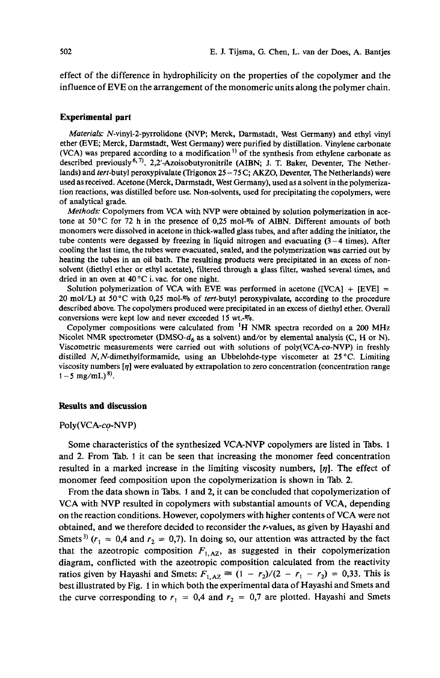effect of the difference in hydrophilicity on the properties of the copolymer and the influence of EVE on the arrangement of the monomeric units along the polymer chain.

#### **Experimental part**

Materials. N-vinyl-2-pyrrolidone (NVP; Merck, Darmstadt, West Germany) and ethyl vinyl ether (EVE; Merck, Darmstadt, West Germany) were purified by distillation. Vinylene carbonate (VCA) was prepared according to a modification  $\frac{1}{1}$  of the synthesis from ethylene carbonate as described previously<sup>6,7)</sup>. 2,2'-Azoisobutyronitrile (AIBN; J. T. Baker, Deventer, The Netherlands) and tert-butyl peroxypivalate (Trigonox **25** - 75 C; **AKZO,** Deventer, The Netherlands) were used as received. Acetone (Merck, Darmstadt, West Germany), used as a solvent in the polymerization reactions, was distilled before use. Non-solvents, used for precipitating the copolymers, were of analytical grade.

Methods: Copolymers from VCA with NVP were obtained by solution polymerization in acetone at *50°C* for 72 h in the presence of *0,25* mol-% of AlBN. Different amounts of both monomers were dissolved in acetone in thick-walled glass tubes, and after adding the initiator, the tube contents were degassed by freezing in liquid nitrogen and evacuating **(3-4** times). After cooling the last time, the tubes were evacuated, sealed, and the polymerization was carried out by heating the tubes in an oil bath. The resulting products were precipitated in an excess of nonsolvent (diethyl ether or ethyl acetate), filtered through a glass filter, washed several times, and dried in an oven at 40 °C i. vac. for one night.

Solution polymerization of VCA with EVE was performed in acetone ([VCA] + [EVE]  $=$ 20 mol/L) at **50°C** with **0,25** mol-% of tert-butyl peroxypivalate, according to the procedure described above. The copolymers produced were precipitated in an excess of diethyl ether. Overall conversions were kept low and never exceeded 15 wt.-%.

Copolymer compositions were calculated from **'H** NMR spectra recorded **on** a 200 MHz Nicolet NMR spectrometer (DMSO-d, as a solvent) and/or by elemental analysis (C, **H** or N). Viscometric measurements were carried out with solutions of poly(VCA-co-NVP) in freshly distilled N, N-dimethylformamide, using an Ubbelohde-type viscometer at **25** "C. Limiting viscosity numbers  $\eta$  were evaluated by extrapolation to zero concentration (concentration range  $1 - 5$  mg/mL)<sup>8)</sup>.

#### **Results and discussion**

#### Poly(VCA-co-NVP)

Some characteristics of the synthesized VCA-NVP copolymers are listed in Tabs. **<sup>1</sup>** and 2. From Tab. 1 it can be seen that increasing the monomer feed concentration resulted in a marked increase in the limiting viscosity numbers, *[q].* The effect of monomer feed composition upon the copolymerization is shown in Tab. 2.

From the data shown in Tabs. 1 and 2, it can be concluded that copolymerization of VCA with NVP resulted in copolymers with substantial amounts of VCA, depending on the reaction conditions. However, copolymers with higher contents of VCA were not obtained, and we therefore decided to reconsider the r-values, as given by Hayashi and Smets<sup>3)</sup>  $(r_1 = 0.4$  and  $r_2 = 0.7$ . In doing so, our attention was attracted by the fact that the azeotropic composition  $F_{1, AZ}$ , as suggested in their copolymerization diagram, conflicted with the azeotropic composition calculated from the reactivity ratios given by Hayashi and Smets:  $F_{1, AZ} \equiv (1 - r_2)/(2 - r_1 - r_2) = 0,33$ . This is best illustrated by Fig. 1 in which both the experimental data of Hayashi and Smets and the curve corresponding to  $r_1 = 0.4$  and  $r_2 = 0.7$  are plotted. Hayashi and Smets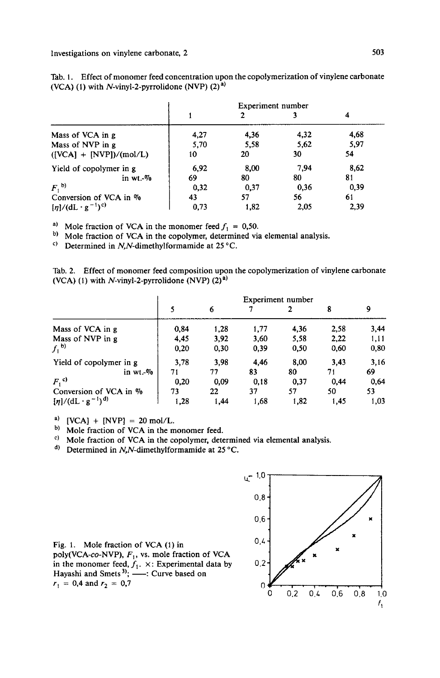|                                | Experiment number |      |      |      |  |  |
|--------------------------------|-------------------|------|------|------|--|--|
|                                |                   |      |      |      |  |  |
| Mass of VCA in g               | 4,27              | 4.36 | 4,32 | 4,68 |  |  |
| Mass of NVP in g               | 5.70              | 5.58 | 5,62 | 5,97 |  |  |
| $([VCA] + [NVP])/(mol/L)$      | 10                | 20   | 30   | 54   |  |  |
| Yield of copolymer in g        | 6,92              | 8,00 | 7.94 | 8,62 |  |  |
| in wt. $\%$                    | 69                | 80   | 80   | 81   |  |  |
| $F1$ <sub>b)</sub>             | 0,32              | 0,37 | 0.36 | 0,39 |  |  |
| Conversion of VCA in $\%$      | 43                | 57   | 56   | 61   |  |  |
| $[\eta]/(dL \cdot g^{-1})^{c}$ | 0.73              | 1,82 | 2,05 | 2,39 |  |  |

Tab. 1. Effect of monomer feed concentration upon the copolymerization of vinylene carbonate (VCA) (1) with N-vinyl-2-pyrrolidone (NVP) (2) **a)** 

<sup>a)</sup> Mole fraction of VCA in the monomer feed  $f_1 = 0,50$ .

b) Mole fraction of VCA in the copolymer, determined via elemental analysis.

 $\degree$  Determined in N,N-dimethylformamide at 25  $\degree$ C.

Tab. 2. Effect of monomer feed composition upon the copolymerization of vinylene carbonate (VCA) (1) with  $N$ -vinyl-2-pyrrolidone (NVP)  $(2)^{a}$ )

| (VCA) (1) with N-vinyl-2-pyrrolidone (NVP) $(2)^{a}$ ) |      |      |      | Experiment number |      |      |
|--------------------------------------------------------|------|------|------|-------------------|------|------|
|                                                        | 5    | 6    |      | 2                 | 8    | 9    |
| Mass of VCA in g                                       | 0.84 | 1,28 | 1,77 | 4,36              | 2,58 | 3,44 |
| Mass of NVP in g                                       | 4,45 | 3,92 | 3.60 | 5.58              | 2.22 | 1,11 |
| $f_1^{\{b\}}$                                          | 0,20 | 0,30 | 0,39 | 0,50              | 0.60 | 0,80 |
| Yield of copolymer in g                                | 3.78 | 3.98 | 4.46 | 8,00              | 3.43 | 3,16 |
| in $wt.$ %                                             | 71   | 77   | 83   | 80                | 71   | 69   |
| $F1$ <sup>c)</sup>                                     | 0,20 | 0.09 | 0.18 | 0.37              | 0,44 | 0.64 |
| Conversion of VCA in %                                 | 73   | 22   | 37   | 57                | 50   | 53   |
| $[\eta]/(dL \cdot g^{-1})^{d}$                         | 1.28 | 1,44 | 1.68 | 1,82              | 1,45 | 1,03 |

a)  $[VCA] + [NVP] = 20 \text{ mol/L}.$ 

**b**) Mole fraction of VCA in the monomer feed.

<sup>c)</sup> Mole fraction of VCA in the copolymer, determined via elemental analysis.

<sup>d)</sup> Determined in N,N-dimethylformamide at 25 °C.



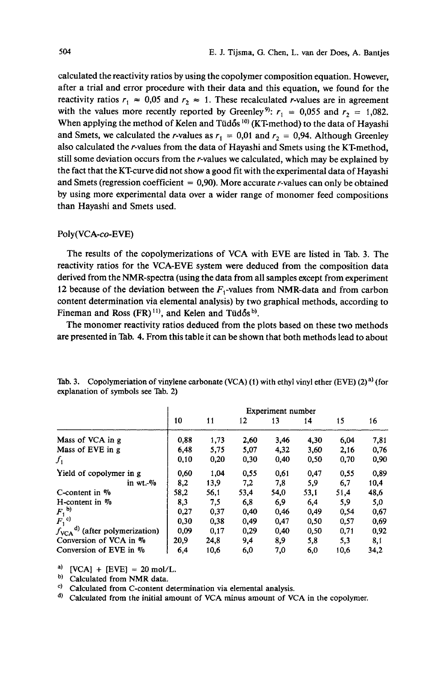calculated the reactivity ratios by using the copolymer composition equation. However, after a trial and error procedure with their data and this equation, we found for the reactivity ratios  $r_1 \approx 0.05$  and  $r_2 \approx 1$ . These recalculated r-values are in agreement with the values more recently reported by Greenley<sup>9)</sup>:  $r_1 = 0.055$  and  $r_2 = 1.082$ . When applying the method of Kelen and Tud6s **lo)** (KT-method) to the data of Hayashi and Smets, we calculated the r-values as  $r_1 = 0.01$  and  $r_2 = 0.94$ . Although Greenley also calculated the r-values from the data of Hayashi and Smets using the KT-method, still some deviation occurs from the r-values we calculated, which may be explained by the fact that the KT-curve did not show a good fit with the experimental data of Hayashi and Smets (regression coefficient  $= 0.90$ ). More accurate r-values can only be obtained by using more experimental data over a wider range of monomer feed compositions than Hayashi and Smets used.

#### Poly(VCA-co-EVE)

The results of the copolymerizations of VCA with EVE are listed in Tab. 3. The reactivity ratios for the VCA-EVE system were deduced from the composition data derived from the NMR-spectra (using the data from all samples except from experiment 12 because of the deviation between the  $F_1$ -values from NMR-data and from carbon content determination via elemental analysis) by two graphical methods, according to Fineman and Ross (FR)<sup>11)</sup>, and Kelen and Tüdős<sup>b)</sup>.

The monomer reactivity ratios deduced from the plots based on these two methods are presented in 'kb. **4.** From this table it can be shown that both methods lead to about

|                                              | Experiment number |      |      |      |      |      |      |
|----------------------------------------------|-------------------|------|------|------|------|------|------|
|                                              | 10                | 11   | 12   | 13   | 14   | 15   | 16   |
| Mass of VCA in g                             | 0.88              | 1,73 | 2,60 | 3.46 | 4,30 | 6,04 | 7,81 |
| Mass of EVE in g                             | 6,48              | 5,75 | 5,07 | 4,32 | 3,60 | 2,16 | 0,76 |
| $f_1$                                        | 0,10              | 0,20 | 0,30 | 0,40 | 0,50 | 0,70 | 0,90 |
| Yield of copolymer in g                      | 0.60              | 1.04 | 0.55 | 0.61 | 0.47 | 0.55 | 0.89 |
| in wt.-%                                     | 8,2               | 13,9 | 7,2  | 7,8  | 5,9  | 6,7  | 10,4 |
| C-content in %                               | 58,2              | 56,1 | 53,4 | 54,0 | 53,1 | 51,4 | 48,6 |
| $H$ -content in $\%$                         | 8,3               | 7.5  | 6.8  | 6.9  | 6,4  | 5.9  | 5,0  |
| $F_1^{\text{b)}}$<br>$F_1^{\text{c)}}$       | 0,27              | 0,37 | 0.40 | 0.46 | 0,49 | 0,54 | 0,67 |
|                                              | 0.30              | 0,38 | 0,49 | 0.47 | 0.50 | 0.57 | 0,69 |
| $d)$ (after polymerization)<br>$J_{\rm VCA}$ | 0,09              | 0,17 | 0.29 | 0.40 | 0.50 | 0.71 | 0,92 |
| Conversion of VCA in %                       | 20,9              | 24,8 | 9,4  | 8,9  | 5,8  | 5,3  | 8,1  |
| Conversion of EVE in %                       | 6,4               | 10.6 | 6,0  | 7,0  | 6.0  | 10,6 | 34,2 |

**Tab. 3. Copolymeriation of vinylene carbonate (VCA) (1) with ethyl vinyl ether (EVE) (2) a) (for explanation of symbols see Tab. 2)** 

<sup>a)</sup>  $[VCA] + [EVE] = 20 \text{ mol/L}.$ <br><sup>b)</sup> Colculated from NMB data

<sup>b)</sup> Calculated from NMR data.<br><sup>c)</sup> Calculated from C-content c

**Calculated from C-content determination via elemental analysis.** 

<sup>d)</sup> Calculated from the initial amount of VCA minus amount of VCA in the copolymer.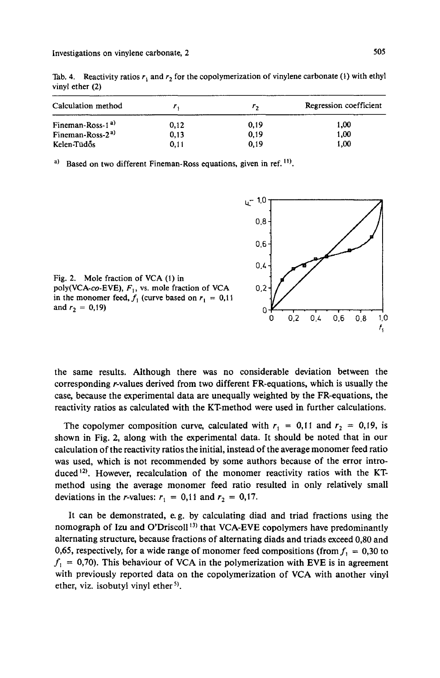Investigations on vinylene carbonate, 2 **505** 

Tab. 4. Reactivity ratios  $r_1$  and  $r_2$  for the copolymerization of vinylene carbonate (1) with ethyl vinyl ether (2)

| Calculation method           |      | г.   | Regression coefficient |  |  |
|------------------------------|------|------|------------------------|--|--|
| Fineman-Ross-1 <sup>a)</sup> | 0.12 | 0,19 | 1,00                   |  |  |
| Fineman-Ross-2 <sup>a)</sup> | 0,13 | 0,19 | 1.00                   |  |  |
| Kelen-Tüdős                  | 0.11 | 0.19 | 1.00                   |  |  |

Based on two different Fineman-Ross equations, given in ref. <sup>11</sup>).





the same results. Although there was no considerable deviation between the corresponding r-values derived from two different FR-equations, which is usually the case, because the experimental data are unequally weighted by the FR-equations, the reactivity ratios as calculated with the KT-method were used in further calculations.

The copolymer composition curve, calculated with  $r_1 = 0,11$  and  $r_2 = 0,19$ , is shown in Fig. 2, along with the experimental data. It should be noted that in our calculation of the reactivity ratios the initial, instead of the average monomer feed ratio was used, which is not recommended by some authors because of the error introduced **12).** However, recalculation of the monomer reactivity ratios with the KTmethod using the average monomer feed ratio resulted in only relatively small deviations in the *r*-values:  $r_1 = 0.11$  and  $r_2 = 0.17$ .

It can be demonstrated, e.g. by calculating diad and triad fractions using the nomograph of Izu and O'Driscoll **13)** that VCA-EVE copolymers have predominantly alternating structure, because fractions of alternating diads and triads exceed *0,80* and 0,65, respectively, for a wide range of monomer feed compositions (from  $f_1 = 0,30$  to  $f_1 = 0.70$ . This behaviour of VCA in the polymerization with EVE is in agreement with previously reported data on the copolymerization of VCA with another vinyl ether, viz. isobutyl vinyl ether *5).*